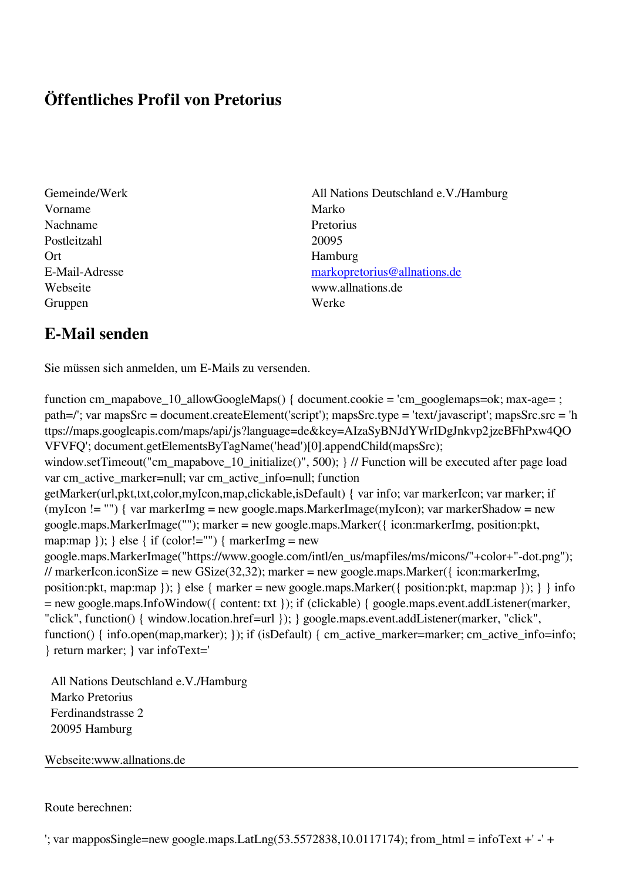## **Öffentliches Profil von Pretorius**

- Vorname Marko Nachname Pretorius Postleitzahl 20095 Ort Hamburg Gruppen Werke
- Gemeinde/Werk All Nations Deutschland e.V./Hamburg E-Mail-Adresse [markopretorius@allnations.de](mailto:markopretorius@allnations.de) Webseite www.allnations.de

## **E-Mail senden**

Sie müssen sich anmelden, um E-Mails zu versenden.

function cm\_mapabove\_10\_allowGoogleMaps() { document.cookie = 'cm\_googlemaps=ok; max-age= ; path=/'; var mapsSrc = document.createElement('script'); mapsSrc.type = 'text/javascript'; mapsSrc.src = 'h ttps://maps.googleapis.com/maps/api/js?language=de&key=AIzaSyBNJdYWrIDgJnkvp2jzeBFhPxw4QO VFVFQ'; document.getElementsByTagName('head')[0].appendChild(mapsSrc); window.setTimeout("cm\_mapabove\_10\_initialize()", 500); } // Function will be executed after page load var cm\_active\_marker=null; var cm\_active\_info=null; function getMarker(url,pkt,txt,color,myIcon,map,clickable,isDefault) { var info; var markerIcon; var marker; if (myIcon != "") { var markerImg = new google.maps.MarkerImage(myIcon); var markerShadow = new google.maps.MarkerImage(""); marker = new google.maps.Marker({ icon:markerImg, position:pkt, map:map  $\}$ ;  $\}$  else { if (color!="") { markerImg = new google.maps.MarkerImage("https://www.google.com/intl/en\_us/mapfiles/ms/micons/"+color+"-dot.png"); // markerIcon.iconSize = new GSize(32,32); marker = new google.maps.Marker({ $i$ con:markerImg, position:pkt, map:map }); } else { marker = new google.maps.Marker({ position:pkt, map:map }); } } info = new google.maps.InfoWindow({ content: txt }); if (clickable) { google.maps.event.addListener(marker, "click", function() { window.location.href=url }); } google.maps.event.addListener(marker, "click", function() { info.open(map,marker); }); if (isDefault) { cm\_active\_marker=marker; cm\_active\_info=info; } return marker; } var infoText='

 All Nations Deutschland e.V./Hamburg Marko Pretorius Ferdinandstrasse 2 20095 Hamburg

Webseite:www.allnations.de

Route berechnen:

 $'$ ; var mapposSingle=new google.maps.LatLng(53.5572838,10.0117174); from\_html = infoText +' -' +'